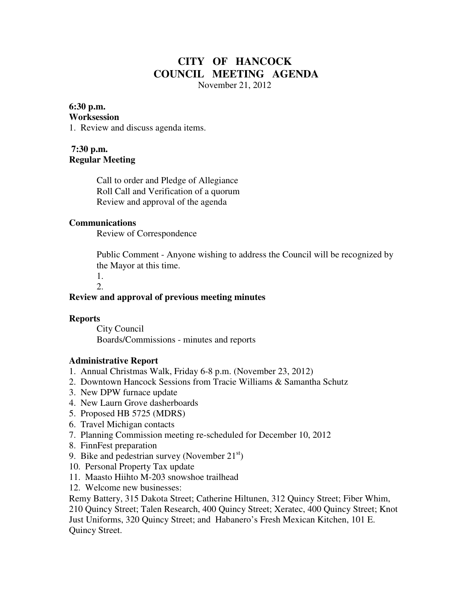# **CITY OF HANCOCK COUNCIL MEETING AGENDA**

November 21, 2012

# **6:30 p.m.**

#### **Worksession**

1. Review and discuss agenda items.

### **7:30 p.m. Regular Meeting**

 Call to order and Pledge of Allegiance Roll Call and Verification of a quorum Review and approval of the agenda

#### **Communications**

Review of Correspondence

 Public Comment - Anyone wishing to address the Council will be recognized by the Mayor at this time.

1.

#### 2.

#### **Review and approval of previous meeting minutes**

#### **Reports**

City Council Boards/Commissions - minutes and reports

## **Administrative Report**

- 1. Annual Christmas Walk, Friday 6-8 p.m. (November 23, 2012)
- 2. Downtown Hancock Sessions from Tracie Williams & Samantha Schutz
- 3. New DPW furnace update
- 4. New Laurn Grove dasherboards
- 5. Proposed HB 5725 (MDRS)
- 6. Travel Michigan contacts
- 7. Planning Commission meeting re-scheduled for December 10, 2012
- 8. FinnFest preparation
- 9. Bike and pedestrian survey (November  $21<sup>st</sup>$ )
- 10. Personal Property Tax update
- 11. Maasto Hiihto M-203 snowshoe trailhead
- 12. Welcome new businesses:

Remy Battery, 315 Dakota Street; Catherine Hiltunen, 312 Quincy Street; Fiber Whim, 210 Quincy Street; Talen Research, 400 Quincy Street; Xeratec, 400 Quincy Street; Knot Just Uniforms, 320 Quincy Street; and Habanero's Fresh Mexican Kitchen, 101 E. Quincy Street.